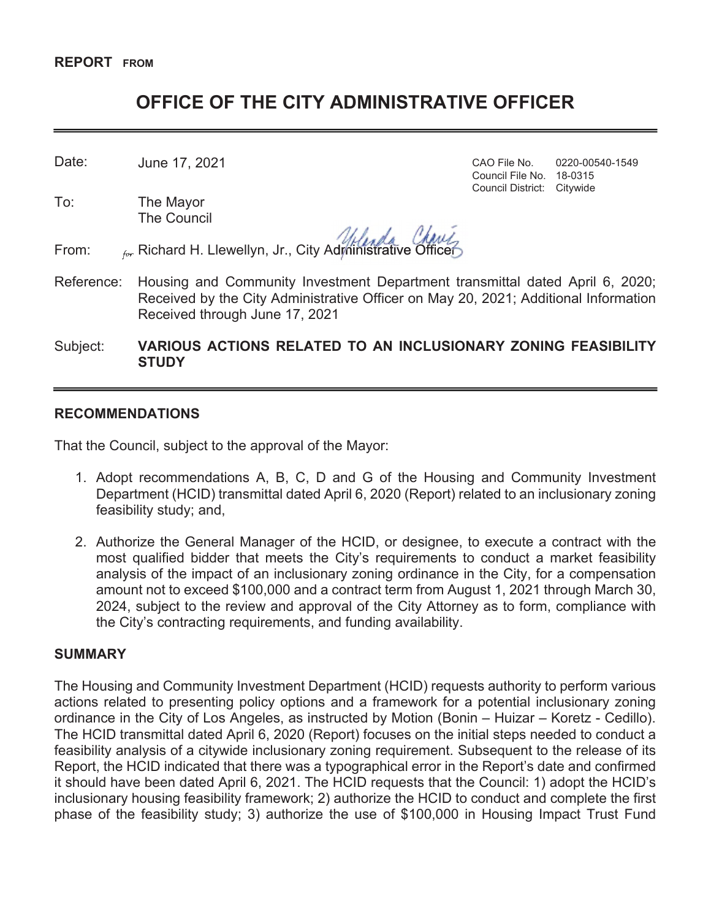# **OFFICE OF THE CITY ADMINISTRATIVE OFFICER**

Date: CAO File No. 0220-00540-1549 June 17, 2021

To: The Mayor The Council

From:  $\theta_{\text{for}}$  Richard H. Llewellyn, Jr., City Administrative Officer

Council File No. 18-0315 Council District: Citywide

- Reference: Housing and Community Investment Department transmittal dated April 6, 2020; Received by the City Administrative Officer on May 20, 2021; Additional Information Received through June 17, 2021
- Subject: **VARIOUS ACTIONS RELATED TO AN INCLUSIONARY ZONING FEASIBILITY STUDY**

### **RECOMMENDATIONS**

That the Council, subject to the approval of the Mayor:

- 1. Adopt recommendations A, B, C, D and G of the Housing and Community Investment Department (HCID) transmittal dated April 6, 2020 (Report) related to an inclusionary zoning feasibility study; and,
- 2. Authorize the General Manager of the HCID, or designee, to execute a contract with the most qualified bidder that meets the City's requirements to conduct a market feasibility analysis of the impact of an inclusionary zoning ordinance in the City, for a compensation amount not to exceed \$100,000 and a contract term from August 1, 2021 through March 30, 2024, subject to the review and approval of the City Attorney as to form, compliance with the City's contracting requirements, and funding availability.

#### **SUMMARY**

The Housing and Community Investment Department (HCID) requests authority to perform various actions related to presenting policy options and a framework for a potential inclusionary zoning ordinance in the City of Los Angeles, as instructed by Motion (Bonin – Huizar – Koretz - Cedillo). The HCID transmittal dated April 6, 2020 (Report) focuses on the initial steps needed to conduct a feasibility analysis of a citywide inclusionary zoning requirement. Subsequent to the release of its Report, the HCID indicated that there was a typographical error in the Report's date and confirmed it should have been dated April 6, 2021. The HCID requests that the Council: 1) adopt the HCID's inclusionary housing feasibility framework; 2) authorize the HCID to conduct and complete the first phase of the feasibility study; 3) authorize the use of \$100,000 in Housing Impact Trust Fund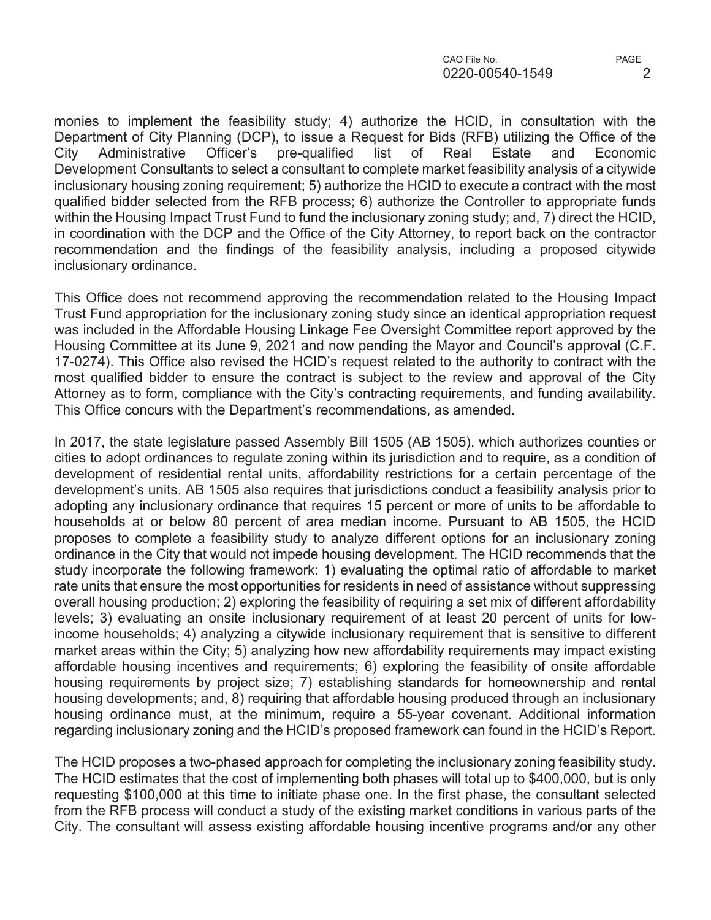monies to implement the feasibility study; 4) authorize the HCID, in consultation with the Department of City Planning (DCP), to issue a Request for Bids (RFB) utilizing the Office of the City Administrative Officer's pre-qualified list of Real Estate and Economic Development Consultants to select a consultant to complete market feasibility analysis of a citywide inclusionary housing zoning requirement; 5) authorize the HCID to execute a contract with the most qualified bidder selected from the RFB process; 6) authorize the Controller to appropriate funds within the Housing Impact Trust Fund to fund the inclusionary zoning study; and, 7) direct the HCID, in coordination with the DCP and the Office of the City Attorney, to report back on the contractor recommendation and the findings of the feasibility analysis, including a proposed citywide inclusionary ordinance.

This Office does not recommend approving the recommendation related to the Housing Impact Trust Fund appropriation for the inclusionary zoning study since an identical appropriation request was included in the Affordable Housing Linkage Fee Oversight Committee report approved by the Housing Committee at its June 9, 2021 and now pending the Mayor and Council's approval (C.F. 17-0274). This Office also revised the HCID's request related to the authority to contract with the most qualified bidder to ensure the contract is subject to the review and approval of the City Attorney as to form, compliance with the City's contracting requirements, and funding availability. This Office concurs with the Department's recommendations, as amended.

In 2017, the state legislature passed Assembly Bill 1505 (AB 1505), which authorizes counties or cities to adopt ordinances to regulate zoning within its jurisdiction and to require, as a condition of development of residential rental units, affordability restrictions for a certain percentage of the development's units. AB 1505 also requires that jurisdictions conduct a feasibility analysis prior to adopting any inclusionary ordinance that requires 15 percent or more of units to be affordable to households at or below 80 percent of area median income. Pursuant to AB 1505, the HCID proposes to complete a feasibility study to analyze different options for an inclusionary zoning ordinance in the City that would not impede housing development. The HCID recommends that the study incorporate the following framework: 1) evaluating the optimal ratio of affordable to market rate units that ensure the most opportunities for residents in need of assistance without suppressing overall housing production; 2) exploring the feasibility of requiring a set mix of different affordability levels; 3) evaluating an onsite inclusionary requirement of at least 20 percent of units for lowincome households; 4) analyzing a citywide inclusionary requirement that is sensitive to different market areas within the City; 5) analyzing how new affordability requirements may impact existing affordable housing incentives and requirements; 6) exploring the feasibility of onsite affordable housing requirements by project size; 7) establishing standards for homeownership and rental housing developments; and, 8) requiring that affordable housing produced through an inclusionary housing ordinance must, at the minimum, require a 55-year covenant. Additional information regarding inclusionary zoning and the HCID's proposed framework can found in the HCID's Report.

The HCID proposes a two-phased approach for completing the inclusionary zoning feasibility study. The HCID estimates that the cost of implementing both phases will total up to \$400,000, but is only requesting \$100,000 at this time to initiate phase one. In the first phase, the consultant selected from the RFB process will conduct a study of the existing market conditions in various parts of the City. The consultant will assess existing affordable housing incentive programs and/or any other